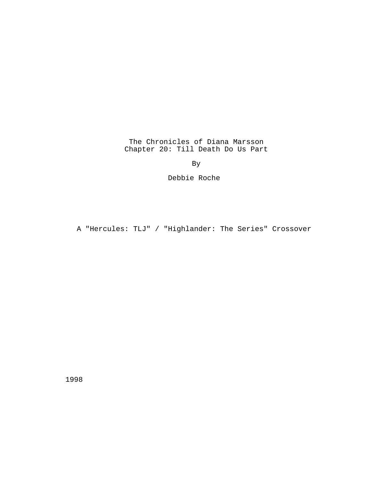The Chronicles of Diana Marsson Chapter 20: Till Death Do Us Part

By

Debbie Roche

A "Hercules: TLJ" / "Highlander: The Series" Crossover

1998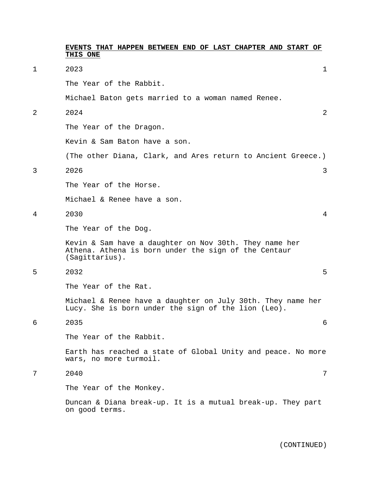|   | EVENTS THAT HAPPEN BETWEEN END OF LAST CHAPTER AND START OF<br>THIS ONE                                                          |                |
|---|----------------------------------------------------------------------------------------------------------------------------------|----------------|
| 1 | 2023                                                                                                                             | 1              |
|   | The Year of the Rabbit.                                                                                                          |                |
|   | Michael Baton gets married to a woman named Renee.                                                                               |                |
| 2 | 2024                                                                                                                             | $\overline{2}$ |
|   | The Year of the Dragon.                                                                                                          |                |
|   | Kevin & Sam Baton have a son.                                                                                                    |                |
|   | (The other Diana, Clark, and Ares return to Ancient Greece.)                                                                     |                |
| 3 | 2026                                                                                                                             | 3              |
|   | The Year of the Horse.                                                                                                           |                |
|   | Michael & Renee have a son.                                                                                                      |                |
| 4 | 2030                                                                                                                             | 4              |
|   | The Year of the Dog.                                                                                                             |                |
|   | Kevin & Sam have a daughter on Nov 30th. They name her<br>Athena. Athena is born under the sign of the Centaur<br>(Sagittarius). |                |
| 5 | 2032                                                                                                                             | 5              |
|   | The Year of the Rat.                                                                                                             |                |
|   | Michael & Renee have a daughter on July 30th. They name her<br>Lucy. She is born under the sign of the lion (Leo).               |                |
| 6 | 2035                                                                                                                             | 6              |
|   | The Year of the Rabbit.                                                                                                          |                |
|   | Earth has reached a state of Global Unity and peace. No more<br>wars, no more turmoil.                                           |                |
| 7 | 2040                                                                                                                             | 7              |
|   | The Year of the Monkey.                                                                                                          |                |
|   | Duncan & Diana break-up. It is a mutual break-up. They part<br>on good terms.                                                    |                |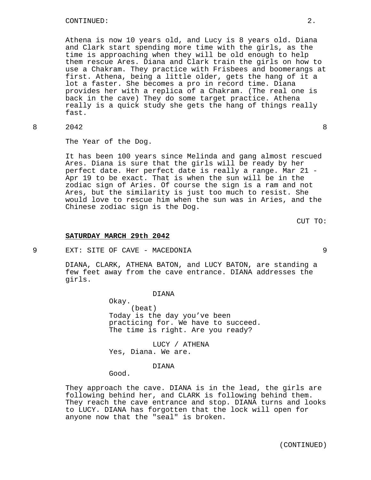Athena is now 10 years old, and Lucy is 8 years old. Diana and Clark start spending more time with the girls, as the time is approaching when they will be old enough to help them rescue Ares. Diana and Clark train the girls on how to use a Chakram. They practice with Frisbees and boomerangs at first. Athena, being a little older, gets the hang of it a lot a faster. She becomes a pro in record time. Diana provides her with a replica of a Chakram. (The real one is back in the cave) They do some target practice. Athena really is a quick study she gets the hang of things really fast.

8 2042 8

The Year of the Dog.

It has been 100 years since Melinda and gang almost rescued Ares. Diana is sure that the girls will be ready by her perfect date. Her perfect date is really a range. Mar 21 - Apr 19 to be exact. That is when the sun will be in the zodiac sign of Aries. Of course the sign is a ram and not Ares, but the similarity is just too much to resist. She would love to rescue him when the sun was in Aries, and the Chinese zodiac sign is the Dog.

CUT TO:

### **SATURDAY MARCH 29th 2042**

9 EXT: SITE OF CAVE - MACEDONIA 9

DIANA, CLARK, ATHENA BATON, and LUCY BATON, are standing a few feet away from the cave entrance. DIANA addresses the girls.

### DIANA

Okay. (beat) Today is the day you've been practicing for. We have to succeed. The time is right. Are you ready?

LUCY / ATHENA Yes, Diana. We are.

### DIANA

Good.

They approach the cave. DIANA is in the lead, the girls are following behind her, and CLARK is following behind them. They reach the cave entrance and stop. DIANA turns and looks to LUCY. DIANA has forgotten that the lock will open for anyone now that the "seal" is broken.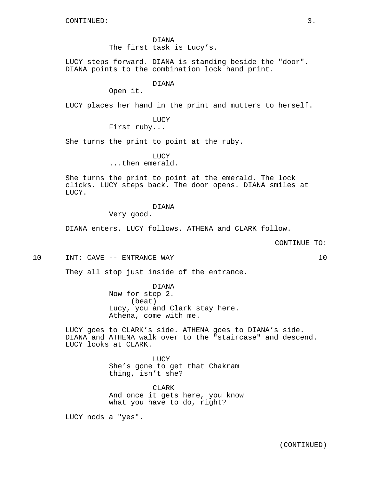DIANA The first task is Lucy's.

LUCY steps forward. DIANA is standing beside the "door". DIANA points to the combination lock hand print.

# DIANA

Open it.

LUCY places her hand in the print and mutters to herself.

LUCY First ruby...

She turns the print to point at the ruby.

LUCY

...then emerald.

She turns the print to point at the emerald. The lock clicks. LUCY steps back. The door opens. DIANA smiles at LUCY.

# DIANA

Very good.

DIANA enters. LUCY follows. ATHENA and CLARK follow.

CONTINUE TO:

10 INT: CAVE -- ENTRANCE WAY 10

They all stop just inside of the entrance.

DIANA Now for step 2. (beat) Lucy, you and Clark stay here. Athena, come with me.

LUCY goes to CLARK's side. ATHENA goes to DIANA's side. DIANA and ATHENA walk over to the "staircase" and descend. LUCY looks at CLARK.

> LUCY She's gone to get that Chakram thing, isn't she?

CLARK And once it gets here, you know what you have to do, right?

LUCY nods a "yes".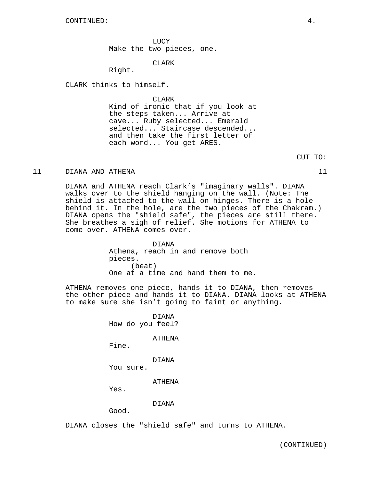LUCY Make the two pieces, one.

### CLARK

Right.

CLARK thinks to himself.

CLARK

Kind of ironic that if you look at the steps taken... Arrive at cave... Ruby selected... Emerald selected... Staircase descended... and then take the first letter of each word... You get ARES.

### 11 DIANA AND ATHENA 11

DIANA and ATHENA reach Clark's "imaginary walls". DIANA walks over to the shield hanging on the wall. (Note: The shield is attached to the wall on hinges. There is a hole behind it. In the hole, are the two pieces of the Chakram.) DIANA opens the "shield safe", the pieces are still there. She breathes a sigh of relief. She motions for ATHENA to come over. ATHENA comes over.

> DIANA Athena, reach in and remove both pieces. (beat) One at a time and hand them to me.

ATHENA removes one piece, hands it to DIANA, then removes the other piece and hands it to DIANA. DIANA looks at ATHENA to make sure she isn't going to faint or anything.

> DIANA How do you feel?

> > ATHENA

Fine.

DIANA

You sure.

ATHENA

Yes.

DIANA

Good.

DIANA closes the "shield safe" and turns to ATHENA.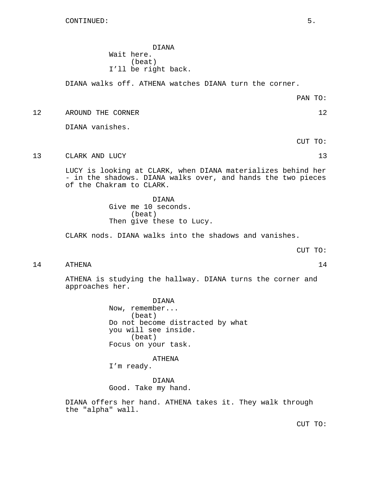CONTINUED: 5.

DIANA Wait here. (beat) I'll be right back.

DIANA walks off. ATHENA watches DIANA turn the corner.

PAN TO:

12 AROUND THE CORNER 12

DIANA vanishes.

CUT TO:

13 CLARK AND LUCY 13

LUCY is looking at CLARK, when DIANA materializes behind her - in the shadows. DIANA walks over, and hands the two pieces of the Chakram to CLARK.

> DIANA Give me 10 seconds. (beat) Then give these to Lucy.

CLARK nods. DIANA walks into the shadows and vanishes.

CUT TO:

14 ATHENA 14

ATHENA is studying the hallway. DIANA turns the corner and approaches her.

> DIANA Now, remember... (beat) Do not become distracted by what you will see inside. (beat) Focus on your task.

ATHENA I'm ready.

DIANA Good. Take my hand.

DIANA offers her hand. ATHENA takes it. They walk through the "alpha" wall.

CUT TO: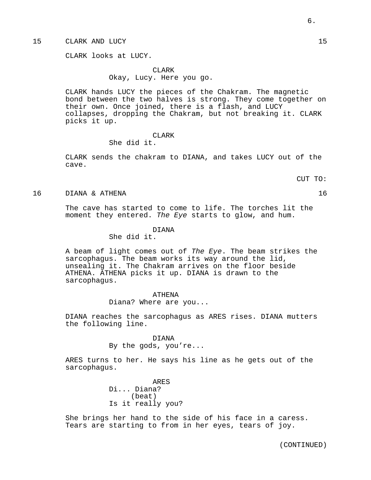## 15 CLARK AND LUCY 15

CLARK looks at LUCY.

CLARK Okay, Lucy. Here you go.

CLARK hands LUCY the pieces of the Chakram. The magnetic bond between the two halves is strong. They come together on their own. Once joined, there is a flash, and LUCY collapses, dropping the Chakram, but not breaking it. CLARK picks it up.

### CLARK

### She did it.

CLARK sends the chakram to DIANA, and takes LUCY out of the cave.

CUT TO:

16 DIANA & ATHENA 16

The cave has started to come to life. The torches lit the moment they entered. The Eye starts to glow, and hum.

#### DIANA

She did it.

A beam of light comes out of The Eye. The beam strikes the sarcophagus. The beam works its way around the lid, unsealing it. The Chakram arrives on the floor beside ATHENA. ATHENA picks it up. DIANA is drawn to the sarcophagus.

#### ATHENA

Diana? Where are you...

DIANA reaches the sarcophagus as ARES rises. DIANA mutters the following line.

> DIANA By the gods, you're...

ARES turns to her. He says his line as he gets out of the sarcophagus.

> ARES Di... Diana? (beat) Is it really you?

She brings her hand to the side of his face in a caress. Tears are starting to from in her eyes, tears of joy.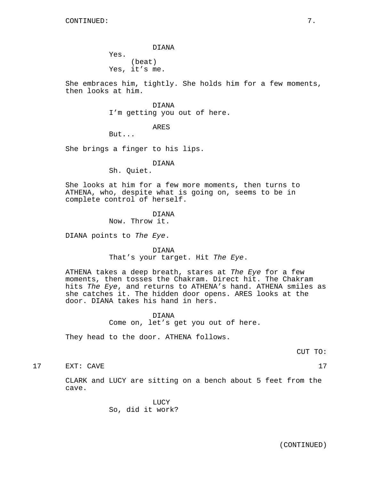DIANA Yes. (beat) Yes, it's me.

She embraces him, tightly. She holds him for a few moments, then looks at him.

> DIANA I'm getting you out of here.

> > ARES

But...

She brings a finger to his lips.

# DIANA

Sh. Quiet.

She looks at him for a few more moments, then turns to ATHENA, who, despite what is going on, seems to be in complete control of herself.

> DIANA Now. Throw it.

DIANA points to The Eye.

DIANA That's your target. Hit The Eye.

ATHENA takes a deep breath, stares at The Eye for a few moments, then tosses the Chakram. Direct hit. The Chakram hits The Eye, and returns to ATHENA's hand. ATHENA smiles as she catches it. The hidden door opens. ARES looks at the door. DIANA takes his hand in hers.

> DIANA Come on, let's get you out of here.

They head to the door. ATHENA follows.

CUT TO:

17 EXT: CAVE 17

CLARK and LUCY are sitting on a bench about 5 feet from the cave.

> LUCY So, did it work?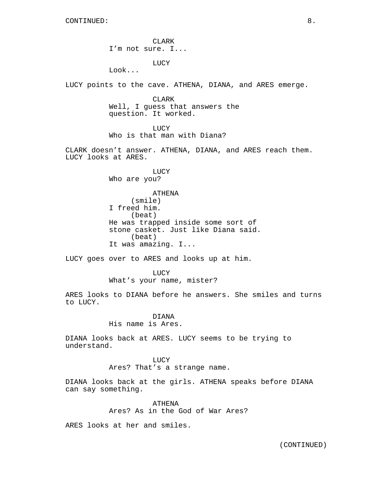CLARK I'm not sure. I...

LUCY

Look...

LUCY points to the cave. ATHENA, DIANA, and ARES emerge.

CLARK Well, I guess that answers the question. It worked.

**LUCY** Who is that man with Diana?

CLARK doesn't answer. ATHENA, DIANA, and ARES reach them. LUCY looks at ARES.

> LUCY Who are you?

ATHENA (smile) I freed him. (beat) He was trapped inside some sort of stone casket. Just like Diana said. (beat) It was amazing. I...

LUCY goes over to ARES and looks up at him.

LUCY What's your name, mister?

ARES looks to DIANA before he answers. She smiles and turns to LUCY.

> DIANA His name is Ares.

DIANA looks back at ARES. LUCY seems to be trying to understand.

**LUCY** 

Ares? That's a strange name.

DIANA looks back at the girls. ATHENA speaks before DIANA can say something.

> ATHENA Ares? As in the God of War Ares?

ARES looks at her and smiles.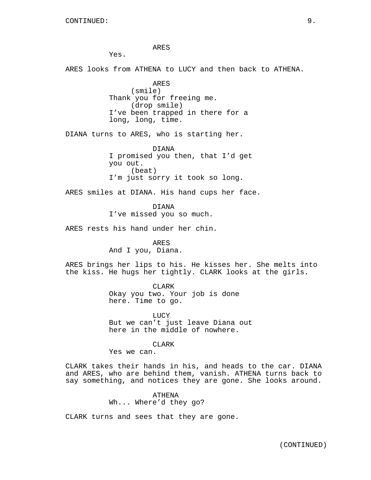ARES

Yes.

ARES looks from ATHENA to LUCY and then back to ATHENA.

ARES (smile) Thank you for freeing me. (drop smile) I've been trapped in there for a long, long, time.

DIANA turns to ARES, who is starting her.

DIANA I promised you then, that I'd get you out. (beat) I'm just sorry it took so long.

ARES smiles at DIANA. His hand cups her face.

DIANA I've missed you so much.

ARES rests his hand under her chin.

ARES And I you, Diana.

ARES brings her lips to his. He kisses her. She melts into the kiss. He hugs her tightly. CLARK looks at the girls.

> CLARK Okay you two. Your job is done here. Time to go.

LUCY But we can't just leave Diana out here in the middle of nowhere.

**CLARK** 

Yes we can.

CLARK takes their hands in his, and heads to the car. DIANA and ARES, who are behind them, vanish. ATHENA turns back to say something, and notices they are gone. She looks around.

> ATHENA Wh... Where'd they go?

CLARK turns and sees that they are gone.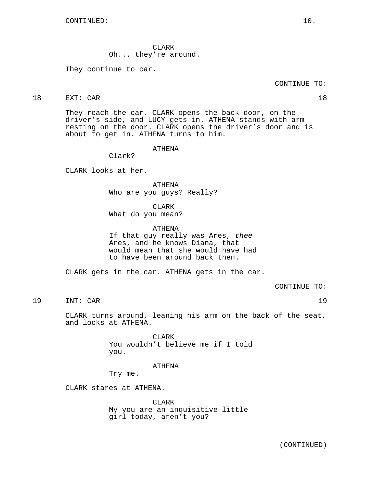CLARK Oh... they're around.

They continue to car.

CONTINUE TO:

18 EXT: CAR 18

They reach the car. CLARK opens the back door, on the driver's side, and LUCY gets in. ATHENA stands with arm resting on the door. CLARK opens the driver's door and is about to get in. ATHENA turns to him.

ATHENA

Clark?

CLARK looks at her.

ATHENA Who are you guys? Really?

CLARK

What do you mean?

ATHENA

If that guy really was Ares, thee Ares, and he knows Diana, that would mean that she would have had to have been around back then.

CLARK gets in the car. ATHENA gets in the car.

CONTINUE TO:

19 INT: CAR 19

CLARK turns around, leaning his arm on the back of the seat, and looks at ATHENA.

> CLARK You wouldn't believe me if I told you.

> > ATHENA

Try me.

CLARK stares at ATHENA.

CLARK My you are an inquisitive little girl today, aren't you?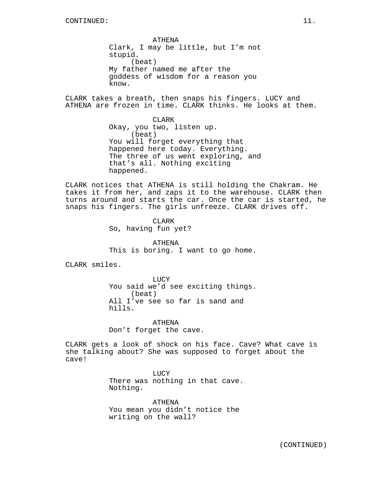ATHENA Clark, I may be little, but I'm not stupid. (beat) My father named me after the goddess of wisdom for a reason you know.

CLARK takes a breath, then snaps his fingers. LUCY and ATHENA are frozen in time. CLARK thinks. He looks at them.

> CLARK Okay, you two, listen up. (beat) You will forget everything that happened here today. Everything. The three of us went exploring, and that's all. Nothing exciting happened.

CLARK notices that ATHENA is still holding the Chakram. He takes it from her, and zaps it to the warehouse. CLARK then turns around and starts the car. Once the car is started, he snaps his fingers. The girls unfreeze. CLARK drives off.

> CLARK So, having fun yet?

ATHENA This is boring. I want to go home.

CLARK smiles.

LUCY You said we'd see exciting things. (beat) All I've see so far is sand and hills.

ATHENA Don't forget the cave.

CLARK gets a look of shock on his face. Cave? What cave is she talking about? She was supposed to forget about the cave!

> LUCY There was nothing in that cave. Nothing.

ATHENA You mean you didn't notice the writing on the wall?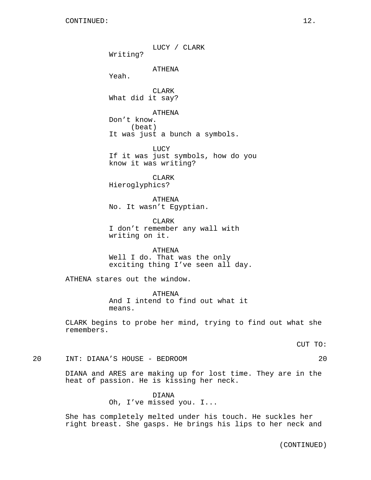LUCY / CLARK Writing? ATHENA Yeah. CLARK What did it say? ATHENA Don't know. (beat) It was just a bunch a symbols. LUCY If it was just symbols, how do you know it was writing? CLARK Hieroglyphics? ATHENA No. It wasn't Egyptian. CLARK I don't remember any wall with writing on it. ATHENA Well I do. That was the only exciting thing I've seen all day. ATHENA stares out the window. ATHENA And I intend to find out what it means.

CLARK begins to probe her mind, trying to find out what she remembers.

CUT TO:

20 INT: DIANA'S HOUSE - BEDROOM 20

DIANA and ARES are making up for lost time. They are in the heat of passion. He is kissing her neck.

> DIANA Oh, I've missed you. I...

She has completely melted under his touch. He suckles her right breast. She gasps. He brings his lips to her neck and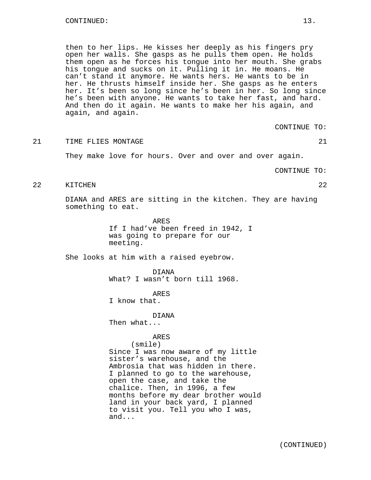then to her lips. He kisses her deeply as his fingers pry open her walls. She gasps as he pulls them open. He holds them open as he forces his tongue into her mouth. She grabs his tongue and sucks on it. Pulling it in. He moans. He can't stand it anymore. He wants hers. He wants to be in her. He thrusts himself inside her. She gasps as he enters her. It's been so long since he's been in her. So long since he's been with anyone. He wants to take her fast, and hard. And then do it again. He wants to make her his again, and again, and again.

CONTINUE TO:

21 TIME FLIES MONTAGE 21 22

They make love for hours. Over and over and over again.

CONTINUE TO:

22 KITCHEN 22

DIANA and ARES are sitting in the kitchen. They are having something to eat.

> ARES If I had've been freed in 1942, I was going to prepare for our meeting.

She looks at him with a raised eyebrow.

DIANA What? I wasn't born till 1968.

ARES

I know that.

DIANA

Then what...

#### ARES

# (smile)

Since I was now aware of my little sister's warehouse, and the Ambrosia that was hidden in there. I planned to go to the warehouse, open the case, and take the chalice. Then, in 1996, a few months before my dear brother would land in your back yard, I planned to visit you. Tell you who I was, and...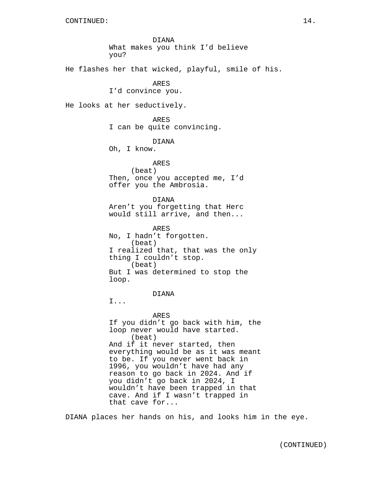DIANA What makes you think I'd believe you?

He flashes her that wicked, playful, smile of his.

ARES

I'd convince you.

He looks at her seductively.

ARES I can be quite convincing.

DIANA

Oh, I know.

ARES (beat) Then, once you accepted me, I'd offer you the Ambrosia.

DIANA Aren't you forgetting that Herc would still arrive, and then...

ARES No, I hadn't forgotten. (beat) I realized that, that was the only thing I couldn't stop. (beat) But I was determined to stop the loop.

DIANA

I...

ARES If you didn't go back with him, the loop never would have started. (beat) And if it never started, then everything would be as it was meant to be. If you never went back in 1996, you wouldn't have had any reason to go back in 2024. And if you didn't go back in 2024, I wouldn't have been trapped in that cave. And if I wasn't trapped in that cave for...

DIANA places her hands on his, and looks him in the eye.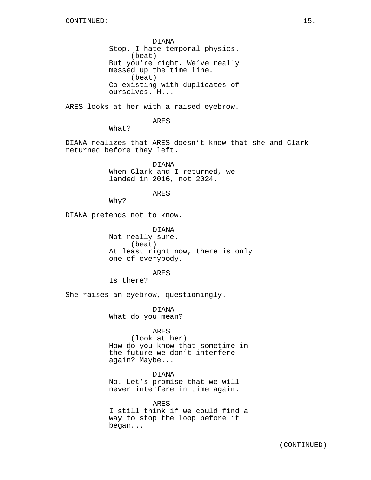DIANA Stop. I hate temporal physics. (beat) But you're right. We've really messed up the time line. (beat) Co-existing with duplicates of ourselves. H...

ARES looks at her with a raised eyebrow.

ARES

What?

DIANA realizes that ARES doesn't know that she and Clark returned before they left.

> DIANA When Clark and I returned, we landed in 2016, not 2024.

> > ARES

Why?

DIANA pretends not to know.

DIANA Not really sure. (beat) At least right now, there is only one of everybody.

ARES

Is there?

She raises an eyebrow, questioningly.

DIANA What do you mean?

# ARES

(look at her) How do you know that sometime in the future we don't interfere again? Maybe...

DIANA

No. Let's promise that we will never interfere in time again.

ARES I still think if we could find a way to stop the loop before it began...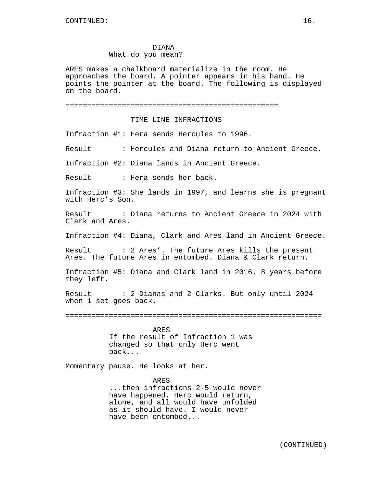ARES makes a chalkboard materialize in the room. He approaches the board. A pointer appears in his hand. He points the pointer at the board. The following is displayed on the board.

```
=================================================
```
### TIME LINE INFRACTIONS

Infraction #1: Hera sends Hercules to 1996.

Result : Hercules and Diana return to Ancient Greece.

Infraction #2: Diana lands in Ancient Greece.

Result : Hera sends her back.

Infraction #3: She lands in 1997, and learns she is pregnant with Herc's Son.

Result : Diana returns to Ancient Greece in 2024 with Clark and Ares.

Infraction #4: Diana, Clark and Ares land in Ancient Greece.

Result : 2 Ares'. The future Ares kills the present Ares. The future Ares in entombed. Diana & Clark return.

Infraction #5: Diana and Clark land in 2016. 8 years before they left.

Result : 2 Dianas and 2 Clarks. But only until 2024 when 1 set goes back.

===========================================================

ARES If the result of Infraction 1 was changed so that only Herc went back...

Momentary pause. He looks at her.

#### ARES

...then infractions 2-5 would never have happened. Herc would return, alone, and all would have unfolded as it should have. I would never have been entombed...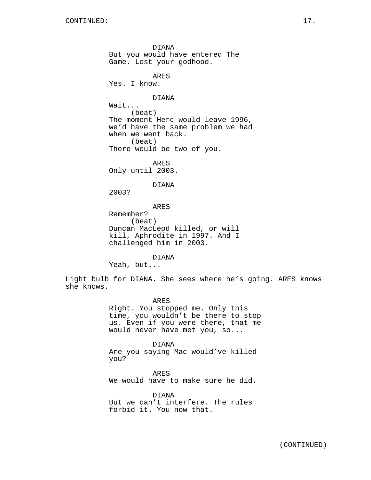DIANA But you would have entered The Game. Lost your godhood. ARES Yes. I know. DIANA Wait... (beat) The moment Herc would leave 1996, we'd have the same problem we had when we went back. (beat) There would be two of you. ARES Only until 2003. DIANA 2003? ARES Remember? (beat) Duncan MacLeod killed, or will kill, Aphrodite in 1997. And I challenged him in 2003. DIANA

Yeah, but...

Light bulb for DIANA. She sees where he's going. ARES knows she knows.

> ARES Right. You stopped me. Only this time, you wouldn't be there to stop us. Even if you were there, that me would never have met you, so...

DIANA Are you saying Mac would've killed you?

ARES We would have to make sure he did.

DIANA But we can't interfere. The rules forbid it. You now that.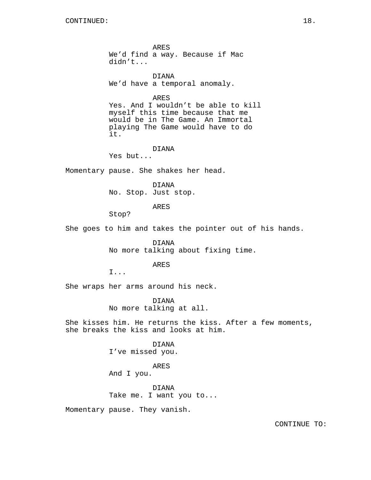ARES We'd find a way. Because if Mac didn't... DIANA We'd have a temporal anomaly. ARES Yes. And I wouldn't be able to kill myself this time because that me would be in The Game. An Immortal playing The Game would have to do it. DIANA Yes but... Momentary pause. She shakes her head. DIANA No. Stop. Just stop. ARES Stop? She goes to him and takes the pointer out of his hands. DIANA No more talking about fixing time. ARES I... She wraps her arms around his neck. DIANA No more talking at all. She kisses him. He returns the kiss. After a few moments, she breaks the kiss and looks at him. DIANA I've missed you. ARES

And I you.

DIANA Take me. I want you to...

Momentary pause. They vanish.

CONTINUE TO: